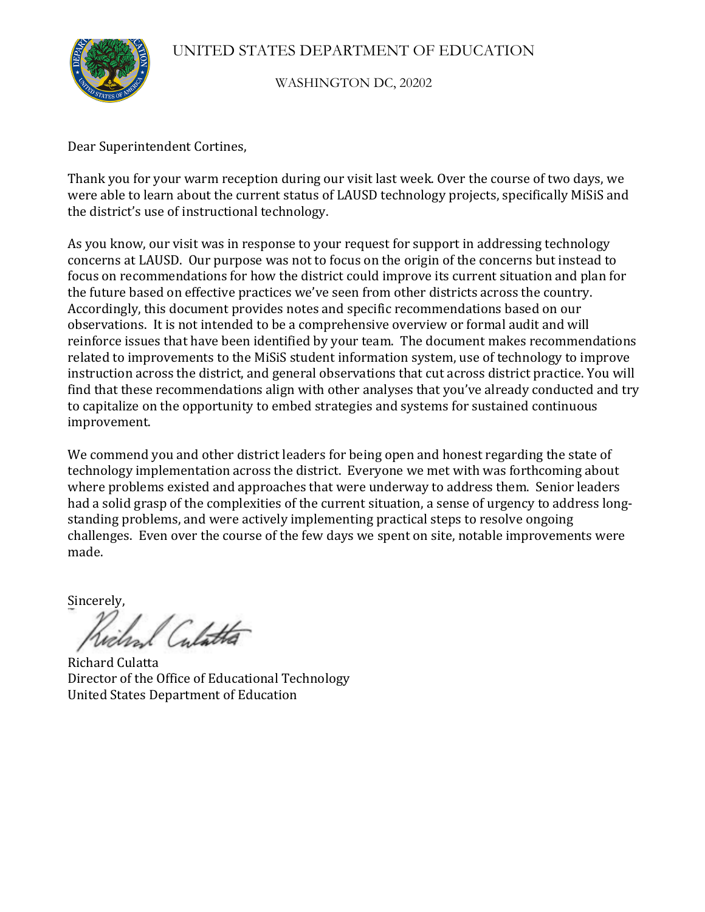

WASHINGTON DC, 20202

Dear Superintendent Cortines,

Thank you for your warm reception during our visit last week. Over the course of two days, we were able to learn about the current status of LAUSD technology projects, specifically MiSiS and the district's use of instructional technology.

As you know, our visit was in response to your request for support in addressing technology concerns at LAUSD. Our purpose was not to focus on the origin of the concerns but instead to focus on recommendations for how the district could improve its current situation and plan for the future based on effective practices we've seen from other districts across the country. Accordingly, this document provides notes and specific recommendations based on our observations. It is not intended to be a comprehensive overview or formal audit and will reinforce issues that have been identified by your team. The document makes recommendations related to improvements to the MiSiS student information system, use of technology to improve instruction across the district, and general observations that cut across district practice. You will find that these recommendations align with other analyses that you've already conducted and try to capitalize on the opportunity to embed strategies and systems for sustained continuous improvement.

We commend you and other district leaders for being open and honest regarding the state of technology implementation across the district. Everyone we met with was forthcoming about where problems existed and approaches that were underway to address them. Senior leaders had a solid grasp of the complexities of the current situation, a sense of urgency to address longstanding problems, and were actively implementing practical steps to resolve ongoing challenges. Even over the course of the few days we spent on site, notable improvements were made.

Sincerely,

Celatta

Richard!Culatta Director of the Office of Educational Technology United States Department of Education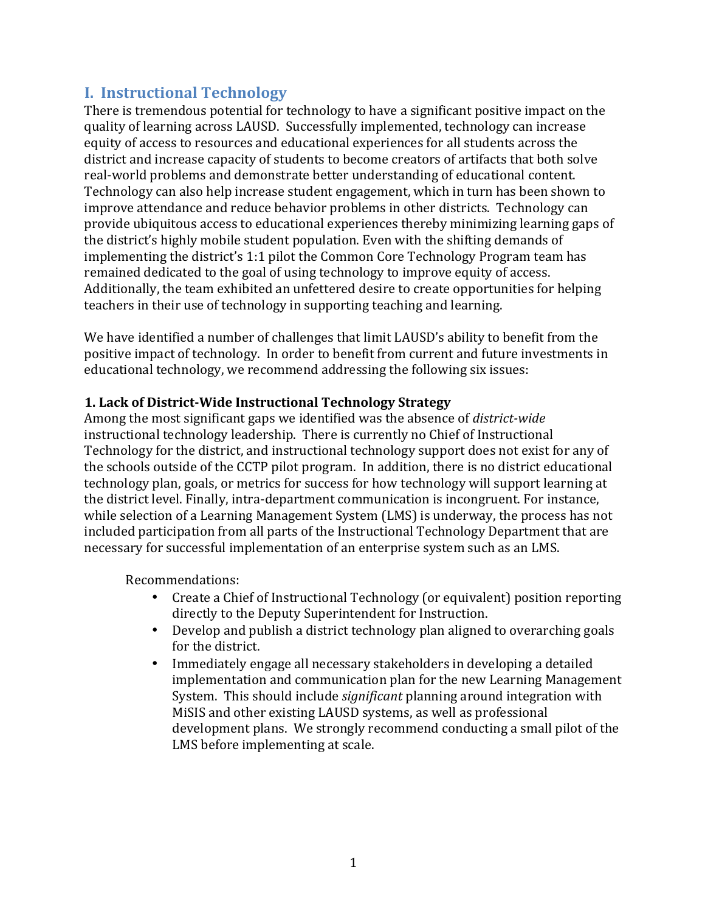# **I. Instructional Technology**

There is tremendous potential for technology to have a significant positive impact on the quality of learning across LAUSD. Successfully implemented, technology can increase equity of access to resources and educational experiences for all students across the district and increase capacity of students to become creators of artifacts that both solve real-world problems and demonstrate better understanding of educational content. Technology can also help increase student engagement, which in turn has been shown to improve attendance and reduce behavior problems in other districts. Technology can provide ubiquitous access to educational experiences thereby minimizing learning gaps of the district's highly mobile student population. Even with the shifting demands of implementing the district's 1:1 pilot the Common Core Technology Program team has remained dedicated to the goal of using technology to improve equity of access. Additionally, the team exhibited an unfettered desire to create opportunities for helping teachers in their use of technology in supporting teaching and learning.

We have identified a number of challenges that limit LAUSD's ability to benefit from the positive impact of technology. In order to benefit from current and future investments in educational technology, we recommend addressing the following six issues:

## **1. Lack of District-Wide Instructional Technology Strategy**

Among the most significant gaps we identified was the absence of *district-wide* instructional technology leadership. There is currently no Chief of Instructional Technology for the district, and instructional technology support does not exist for any of the schools outside of the CCTP pilot program. In addition, there is no district educational technology plan, goals, or metrics for success for how technology will support learning at the district level. Finally, intra-department communication is incongruent. For instance, while selection of a Learning Management System (LMS) is underway, the process has not included participation from all parts of the Instructional Technology Department that are necessary for successful implementation of an enterprise system such as an LMS.

Recommendations:

- Create a Chief of Instructional Technology (or equivalent) position reporting directly to the Deputy Superintendent for Instruction.
- Develop and publish a district technology plan aligned to overarching goals for the district.
- Immediately engage all necessary stakeholders in developing a detailed implementation and communication plan for the new Learning Management System. This should include *significant* planning around integration with MiSIS and other existing LAUSD systems, as well as professional development plans. We strongly recommend conducting a small pilot of the LMS before implementing at scale.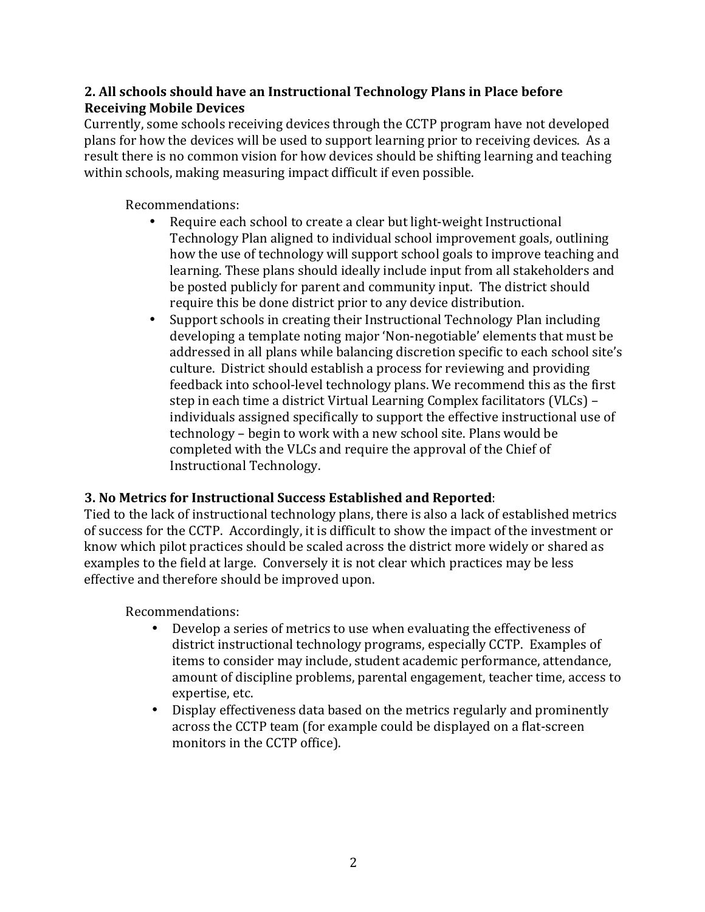## **2. All schools should have an Instructional Technology Plans in Place before Receiving Mobile Devices**

Currently, some schools receiving devices through the CCTP program have not developed plans for how the devices will be used to support learning prior to receiving devices. As a result there is no common vision for how devices should be shifting learning and teaching within schools, making measuring impact difficult if even possible.

Recommendations:

- Require each school to create a clear but light-weight Instructional Technology Plan aligned to individual school improvement goals, outlining how the use of technology will support school goals to improve teaching and learning. These plans should ideally include input from all stakeholders and be posted publicly for parent and community input. The district should require this be done district prior to any device distribution.
- Support schools in creating their Instructional Technology Plan including developing a template noting major 'Non-negotiable' elements that must be addressed in all plans while balancing discretion specific to each school site's culture. District should establish a process for reviewing and providing feedback into school-level technology plans. We recommend this as the first step in each time a district Virtual Learning Complex facilitators (VLCs) – individuals assigned specifically to support the effective instructional use of technology – begin to work with a new school site. Plans would be completed with the VLCs and require the approval of the Chief of Instructional Technology.

# **3. No Metrics for Instructional Success Established and Reported:**

Tied to the lack of instructional technology plans, there is also a lack of established metrics of success for the CCTP. Accordingly, it is difficult to show the impact of the investment or know which pilot practices should be scaled across the district more widely or shared as examples to the field at large. Conversely it is not clear which practices may be less effective and therefore should be improved upon.

Recommendations:

- Develop a series of metrics to use when evaluating the effectiveness of district instructional technology programs, especially CCTP. Examples of items to consider may include, student academic performance, attendance, amount of discipline problems, parental engagement, teacher time, access to expertise, etc.
- Display effectiveness data based on the metrics regularly and prominently across the CCTP team (for example could be displayed on a flat-screen monitors in the CCTP office).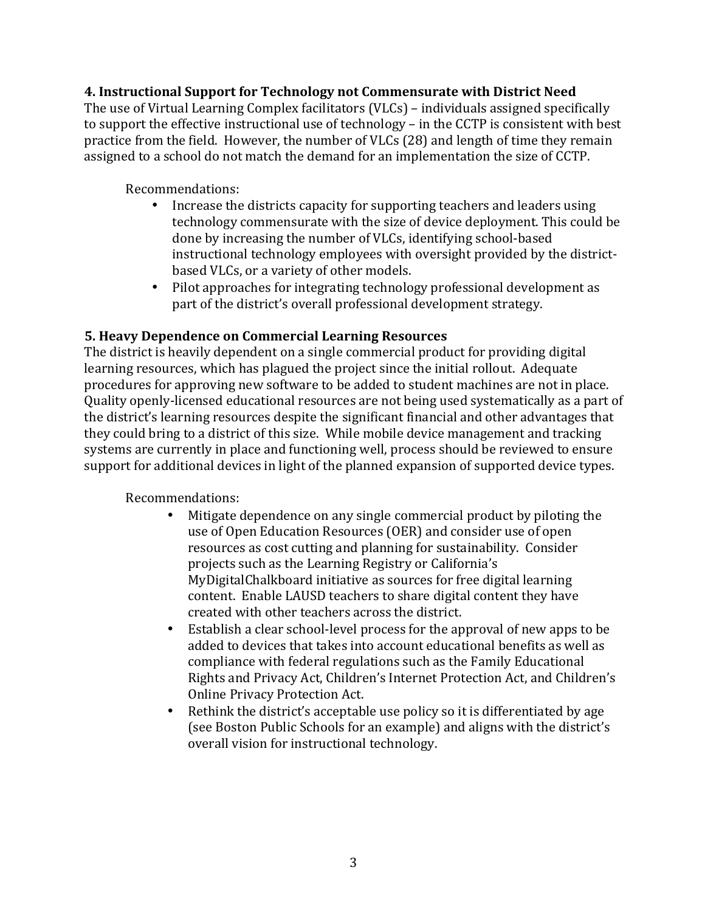#### **4. Instructional Support for Technology not Commensurate with District Need**

The use of Virtual Learning Complex facilitators (VLCs) – individuals assigned specifically to support the effective instructional use of technology – in the CCTP is consistent with best practice from the field. However, the number of VLCs (28) and length of time they remain assigned to a school do not match the demand for an implementation the size of CCTP.

#### Recommendations:

- Increase the districts capacity for supporting teachers and leaders using technology commensurate with the size of device deployment. This could be done by increasing the number of VLCs, identifying school-based instructional technology employees with oversight provided by the districtbased VLCs, or a variety of other models.
- Pilot approaches for integrating technology professional development as part of the district's overall professional development strategy.

#### **5. Heavy Dependence on Commercial Learning Resources**

The district is heavily dependent on a single commercial product for providing digital learning resources, which has plagued the project since the initial rollout. Adequate procedures for approving new software to be added to student machines are not in place. Quality openly-licensed educational resources are not being used systematically as a part of the district's learning resources despite the significant financial and other advantages that they could bring to a district of this size. While mobile device management and tracking systems are currently in place and functioning well, process should be reviewed to ensure support for additional devices in light of the planned expansion of supported device types.

#### Recommendations:

- Mitigate dependence on any single commercial product by piloting the use of Open Education Resources (OER) and consider use of open resources as cost cutting and planning for sustainability. Consider projects such as the Learning Registry or California's MyDigitalChalkboard initiative as sources for free digital learning content. Enable LAUSD teachers to share digital content they have created with other teachers across the district.
- Establish a clear school-level process for the approval of new apps to be added to devices that takes into account educational benefits as well as compliance with federal regulations such as the Family Educational Rights and Privacy Act, Children's Internet Protection Act, and Children's Online Privacy Protection Act.
- Rethink the district's acceptable use policy so it is differentiated by age (see Boston Public Schools for an example) and aligns with the district's overall vision for instructional technology.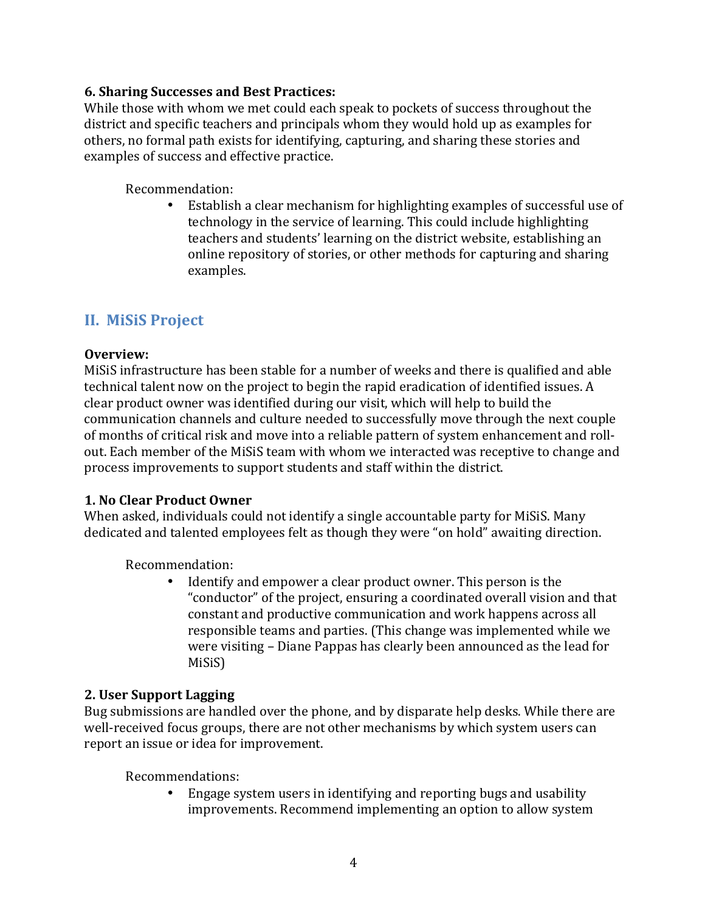#### **6. Sharing Successes and Best Practices:**

While those with whom we met could each speak to pockets of success throughout the district and specific teachers and principals whom they would hold up as examples for others, no formal path exists for identifying, capturing, and sharing these stories and examples of success and effective practice.

#### Recommendation:

Establish a clear mechanism for highlighting examples of successful use of technology in the service of learning. This could include highlighting teachers and students' learning on the district website, establishing an online repository of stories, or other methods for capturing and sharing examples.

# **II. MiSiS Project**

#### **Overview:**

MiSiS infrastructure has been stable for a number of weeks and there is qualified and able technical talent now on the project to begin the rapid eradication of identified issues. A clear product owner was identified during our visit, which will help to build the communication channels and culture needed to successfully move through the next couple of months of critical risk and move into a reliable pattern of system enhancement and rollout. Each member of the MiSiS team with whom we interacted was receptive to change and process improvements to support students and staff within the district.

#### **1. No Clear Product Owner**

When asked, individuals could not identify a single accountable party for MiSiS. Many dedicated and talented employees felt as though they were "on hold" awaiting direction.

Recommendation:

Identify and empower a clear product owner. This person is the "conductor" of the project, ensuring a coordinated overall vision and that constant and productive communication and work happens across all responsible teams and parties. (This change was implemented while we were visiting – Diane Pappas has clearly been announced as the lead for MiSiS)

#### **2. User Support Lagging**

Bug submissions are handled over the phone, and by disparate help desks. While there are well-received focus groups, there are not other mechanisms by which system users can report an issue or idea for improvement.

Recommendations:

Engage system users in identifying and reporting bugs and usability improvements. Recommend implementing an option to allow system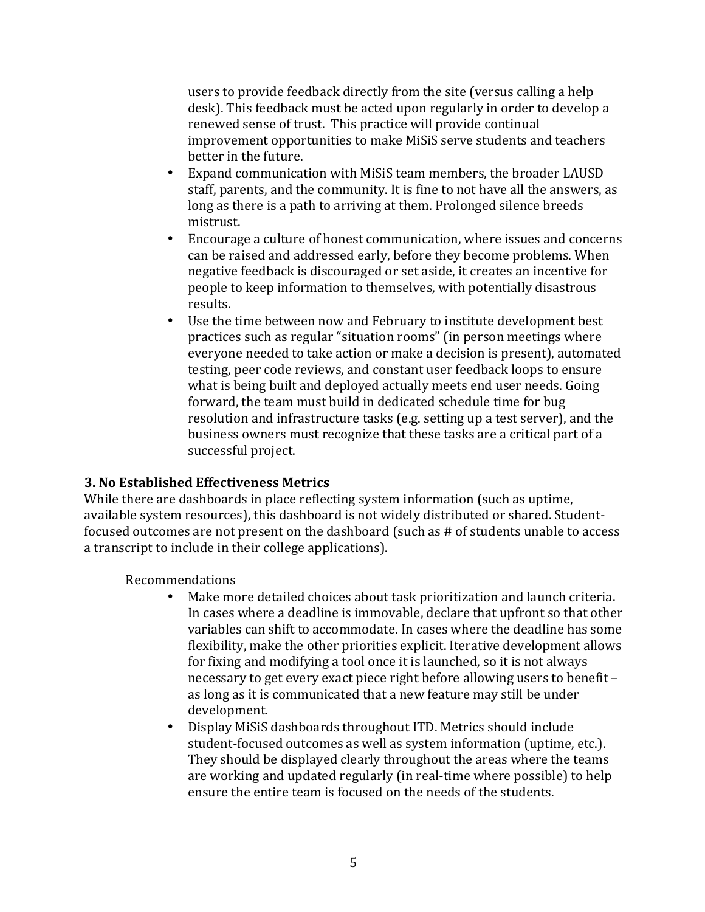users to provide feedback directly from the site (versus calling a help desk). This feedback must be acted upon regularly in order to develop a renewed sense of trust. This practice will provide continual improvement opportunities to make MiSiS serve students and teachers better in the future.

- Expand communication with MiSiS team members, the broader LAUSD staff, parents, and the community. It is fine to not have all the answers, as long as there is a path to arriving at them. Prolonged silence breeds mistrust.
- Encourage a culture of honest communication, where issues and concerns can be raised and addressed early, before they become problems. When negative feedback is discouraged or set aside, it creates an incentive for people to keep information to themselves, with potentially disastrous results.
- Use the time between now and February to institute development best practices such as regular "situation rooms" (in person meetings where everyone needed to take action or make a decision is present), automated testing, peer code reviews, and constant user feedback loops to ensure what is being built and deployed actually meets end user needs. Going forward, the team must build in dedicated schedule time for bug resolution and infrastructure tasks (e.g. setting up a test server), and the business owners must recognize that these tasks are a critical part of a successful project.

#### **3. No Established Effectiveness Metrics**

While there are dashboards in place reflecting system information (such as uptime, available system resources), this dashboard is not widely distributed or shared. Studentfocused outcomes are not present on the dashboard (such as # of students unable to access a transcript to include in their college applications).

Recommendations

- Make more detailed choices about task prioritization and launch criteria. In cases where a deadline is immovable, declare that upfront so that other variables can shift to accommodate. In cases where the deadline has some flexibility, make the other priorities explicit. Iterative development allows for fixing and modifying a tool once it is launched, so it is not always necessary to get every exact piece right before allowing users to benefit – as long as it is communicated that a new feature may still be under development.
- Display MiSiS dashboards throughout ITD. Metrics should include student-focused outcomes as well as system information (uptime, etc.). They should be displayed clearly throughout the areas where the teams are working and updated regularly (in real-time where possible) to help ensure the entire team is focused on the needs of the students.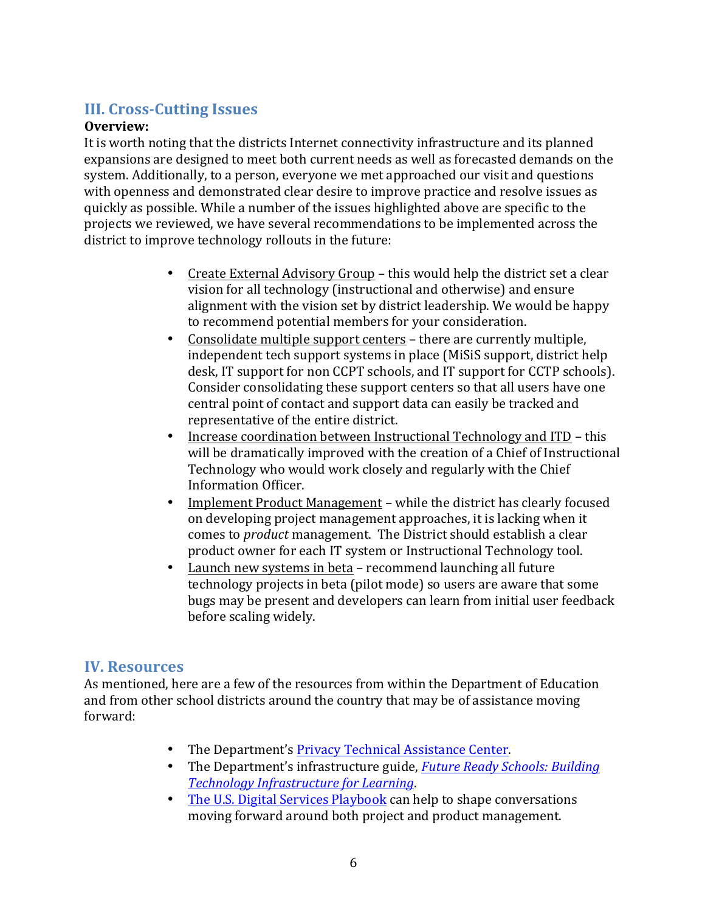# **III. Cross-Cutting Issues**

## **Overview:**

It is worth noting that the districts Internet connectivity infrastructure and its planned expansions are designed to meet both current needs as well as forecasted demands on the system. Additionally, to a person, everyone we met approached our visit and questions with openness and demonstrated clear desire to improve practice and resolve issues as quickly as possible. While a number of the issues highlighted above are specific to the projects we reviewed, we have several recommendations to be implemented across the district to improve technology rollouts in the future:

- Create External Advisory Group this would help the district set a clear vision for all technology (instructional and otherwise) and ensure alignment with the vision set by district leadership. We would be happy to recommend potential members for your consideration.
- Consolidate multiple support centers there are currently multiple, independent tech support systems in place (MiSiS support, district help desk, IT support for non CCPT schools, and IT support for CCTP schools). Consider consolidating these support centers so that all users have one central point of contact and support data can easily be tracked and representative of the entire district.
- Increase coordination between Instructional Technology and ITD this will be dramatically improved with the creation of a Chief of Instructional Technology who would work closely and regularly with the Chief Information!Officer.
- Implement Product Management while the district has clearly focused on developing project management approaches, it is lacking when it comes to *product* management. The District should establish a clear product owner for each IT system or Instructional Technology tool.
- Launch new systems in beta recommend launching all future technology projects in beta (pilot mode) so users are aware that some bugs may be present and developers can learn from initial user feedback before scaling widely.

# **IV. Resources**

As mentioned, here are a few of the resources from within the Department of Education and from other school districts around the country that may be of assistance moving forward:

- The Department's Privacy Technical Assistance Center.
- The Department's infrastructure guide, *Future Ready Schools: Building Technology Infrastructure for Learning.*
- The U.S. Digital Services Playbook can help to shape conversations moving forward around both project and product management.